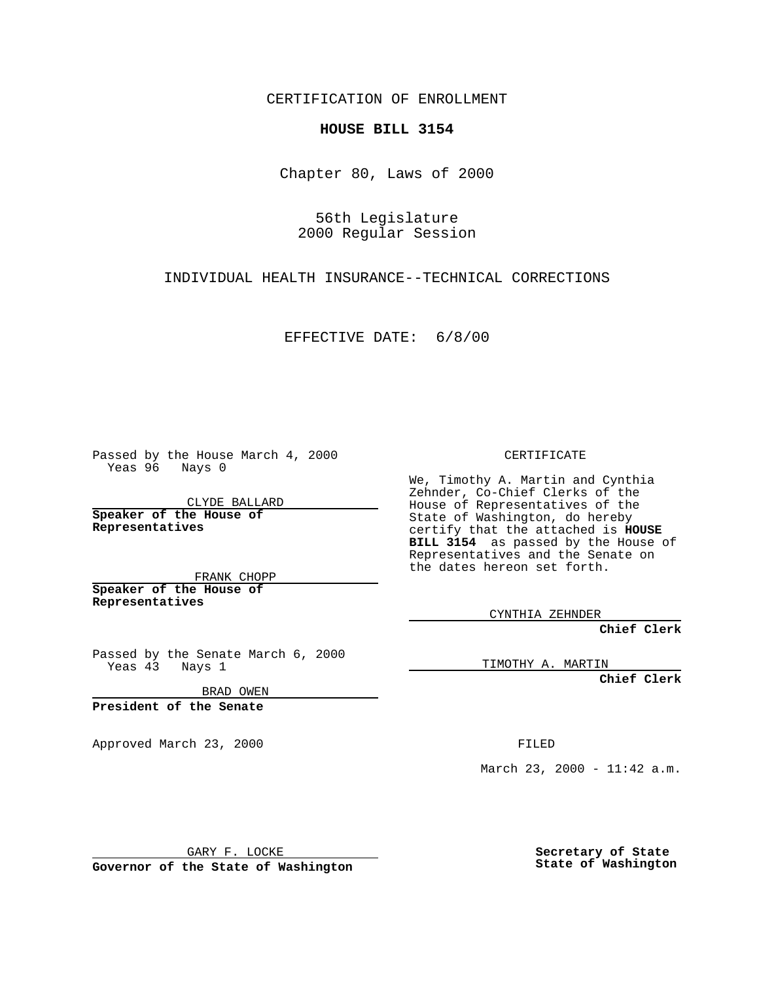CERTIFICATION OF ENROLLMENT

## **HOUSE BILL 3154**

Chapter 80, Laws of 2000

56th Legislature 2000 Regular Session

INDIVIDUAL HEALTH INSURANCE--TECHNICAL CORRECTIONS

EFFECTIVE DATE: 6/8/00

Passed by the House March 4, 2000 Yeas 96 Nays 0

CLYDE BALLARD **Speaker of the House of Representatives**

FRANK CHOPP **Speaker of the House of**

**Representatives**

Passed by the Senate March 6, 2000 Yeas 43 Nays 1

BRAD OWEN

**President of the Senate**

Approved March 23, 2000 FILED

CERTIFICATE

We, Timothy A. Martin and Cynthia Zehnder, Co-Chief Clerks of the House of Representatives of the State of Washington, do hereby certify that the attached is **HOUSE BILL 3154** as passed by the House of Representatives and the Senate on the dates hereon set forth.

CYNTHIA ZEHNDER

**Chief Clerk**

TIMOTHY A. MARTIN

**Chief Clerk**

March 23, 2000 - 11:42 a.m.

GARY F. LOCKE

**Governor of the State of Washington**

**Secretary of State State of Washington**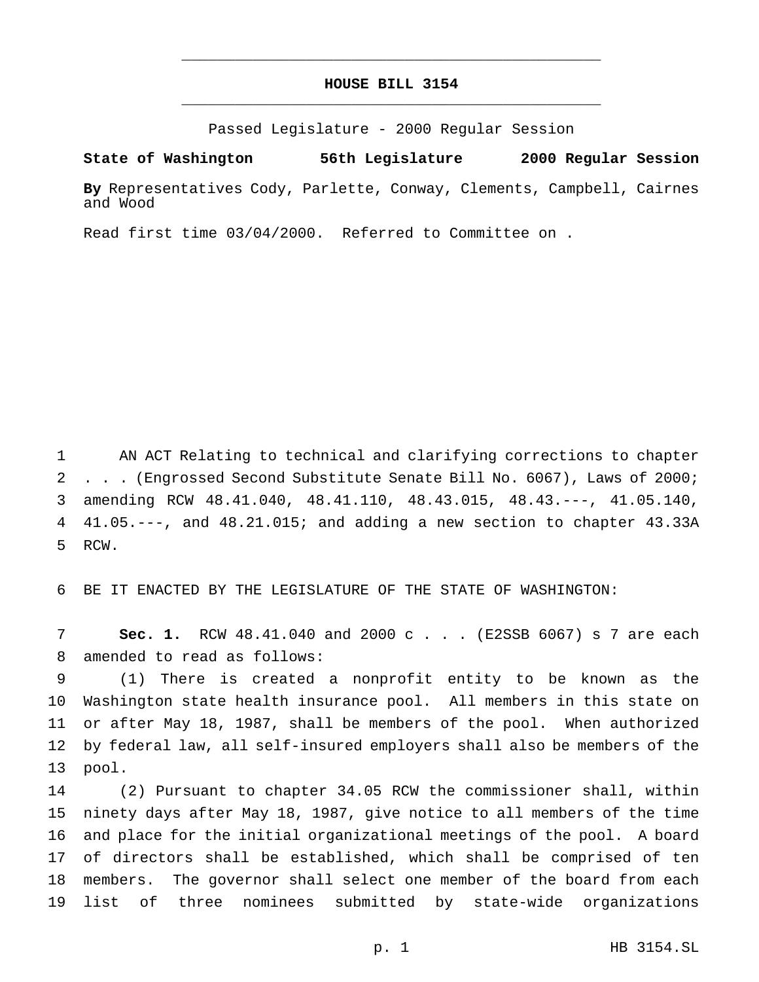## **HOUSE BILL 3154** \_\_\_\_\_\_\_\_\_\_\_\_\_\_\_\_\_\_\_\_\_\_\_\_\_\_\_\_\_\_\_\_\_\_\_\_\_\_\_\_\_\_\_\_\_\_\_

\_\_\_\_\_\_\_\_\_\_\_\_\_\_\_\_\_\_\_\_\_\_\_\_\_\_\_\_\_\_\_\_\_\_\_\_\_\_\_\_\_\_\_\_\_\_\_

Passed Legislature - 2000 Regular Session

**State of Washington 56th Legislature 2000 Regular Session**

**By** Representatives Cody, Parlette, Conway, Clements, Campbell, Cairnes and Wood

Read first time 03/04/2000. Referred to Committee on .

 AN ACT Relating to technical and clarifying corrections to chapter . . . (Engrossed Second Substitute Senate Bill No. 6067), Laws of 2000; amending RCW 48.41.040, 48.41.110, 48.43.015, 48.43.---, 41.05.140, 41.05.---, and 48.21.015; and adding a new section to chapter 43.33A RCW.

BE IT ENACTED BY THE LEGISLATURE OF THE STATE OF WASHINGTON:

 **Sec. 1.** RCW 48.41.040 and 2000c... (E2SSB 6067) s 7 are each amended to read as follows:

 (1) There is created a nonprofit entity to be known as the Washington state health insurance pool. All members in this state on or after May 18, 1987, shall be members of the pool. When authorized by federal law, all self-insured employers shall also be members of the pool.

 (2) Pursuant to chapter 34.05 RCW the commissioner shall, within ninety days after May 18, 1987, give notice to all members of the time and place for the initial organizational meetings of the pool. A board of directors shall be established, which shall be comprised of ten members. The governor shall select one member of the board from each list of three nominees submitted by state-wide organizations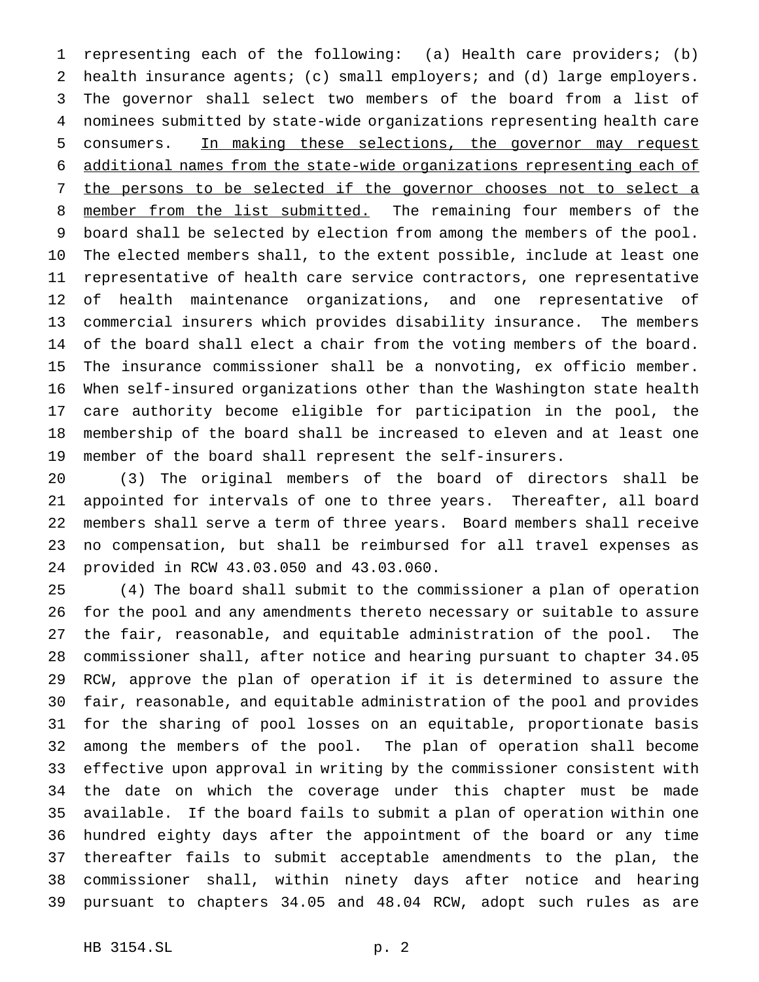representing each of the following: (a) Health care providers; (b) health insurance agents; (c) small employers; and (d) large employers. The governor shall select two members of the board from a list of nominees submitted by state-wide organizations representing health care consumers. In making these selections, the governor may request additional names from the state-wide organizations representing each of 7 the persons to be selected if the governor chooses not to select a 8 member from the list submitted. The remaining four members of the board shall be selected by election from among the members of the pool. The elected members shall, to the extent possible, include at least one representative of health care service contractors, one representative of health maintenance organizations, and one representative of commercial insurers which provides disability insurance. The members of the board shall elect a chair from the voting members of the board. The insurance commissioner shall be a nonvoting, ex officio member. When self-insured organizations other than the Washington state health care authority become eligible for participation in the pool, the membership of the board shall be increased to eleven and at least one member of the board shall represent the self-insurers.

 (3) The original members of the board of directors shall be appointed for intervals of one to three years. Thereafter, all board members shall serve a term of three years. Board members shall receive no compensation, but shall be reimbursed for all travel expenses as provided in RCW 43.03.050 and 43.03.060.

 (4) The board shall submit to the commissioner a plan of operation for the pool and any amendments thereto necessary or suitable to assure the fair, reasonable, and equitable administration of the pool. The commissioner shall, after notice and hearing pursuant to chapter 34.05 RCW, approve the plan of operation if it is determined to assure the fair, reasonable, and equitable administration of the pool and provides for the sharing of pool losses on an equitable, proportionate basis among the members of the pool. The plan of operation shall become effective upon approval in writing by the commissioner consistent with the date on which the coverage under this chapter must be made available. If the board fails to submit a plan of operation within one hundred eighty days after the appointment of the board or any time thereafter fails to submit acceptable amendments to the plan, the commissioner shall, within ninety days after notice and hearing pursuant to chapters 34.05 and 48.04 RCW, adopt such rules as are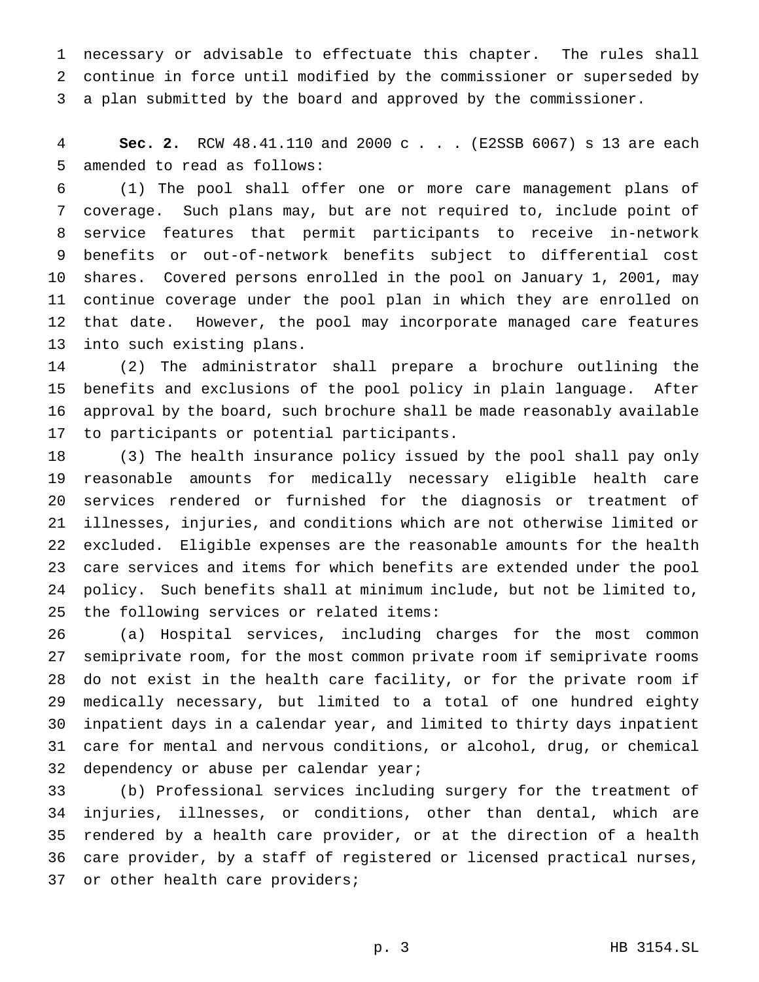necessary or advisable to effectuate this chapter. The rules shall continue in force until modified by the commissioner or superseded by a plan submitted by the board and approved by the commissioner.

 **Sec. 2.** RCW 48.41.110 and 2000 c . . . (E2SSB 6067) s 13 are each amended to read as follows:

 (1) The pool shall offer one or more care management plans of coverage. Such plans may, but are not required to, include point of service features that permit participants to receive in-network benefits or out-of-network benefits subject to differential cost shares. Covered persons enrolled in the pool on January 1, 2001, may continue coverage under the pool plan in which they are enrolled on that date. However, the pool may incorporate managed care features into such existing plans.

 (2) The administrator shall prepare a brochure outlining the benefits and exclusions of the pool policy in plain language. After approval by the board, such brochure shall be made reasonably available to participants or potential participants.

 (3) The health insurance policy issued by the pool shall pay only reasonable amounts for medically necessary eligible health care services rendered or furnished for the diagnosis or treatment of illnesses, injuries, and conditions which are not otherwise limited or excluded. Eligible expenses are the reasonable amounts for the health care services and items for which benefits are extended under the pool policy. Such benefits shall at minimum include, but not be limited to, the following services or related items:

 (a) Hospital services, including charges for the most common semiprivate room, for the most common private room if semiprivate rooms do not exist in the health care facility, or for the private room if medically necessary, but limited to a total of one hundred eighty inpatient days in a calendar year, and limited to thirty days inpatient care for mental and nervous conditions, or alcohol, drug, or chemical dependency or abuse per calendar year;

 (b) Professional services including surgery for the treatment of injuries, illnesses, or conditions, other than dental, which are rendered by a health care provider, or at the direction of a health care provider, by a staff of registered or licensed practical nurses, 37 or other health care providers;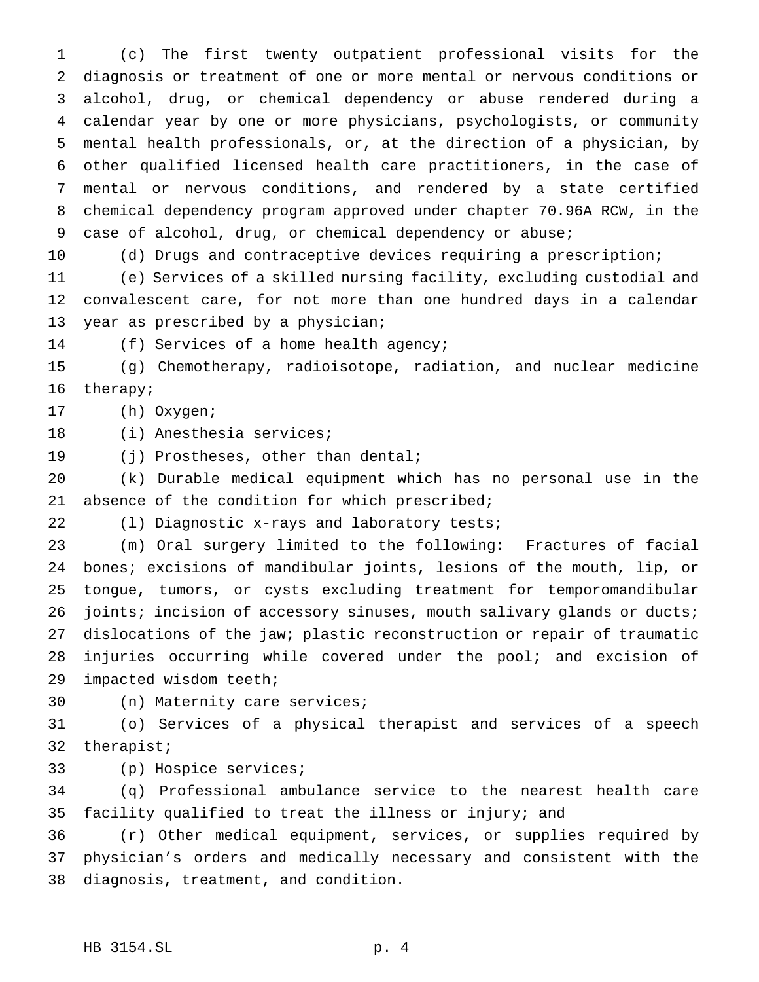(c) The first twenty outpatient professional visits for the diagnosis or treatment of one or more mental or nervous conditions or alcohol, drug, or chemical dependency or abuse rendered during a calendar year by one or more physicians, psychologists, or community mental health professionals, or, at the direction of a physician, by other qualified licensed health care practitioners, in the case of mental or nervous conditions, and rendered by a state certified chemical dependency program approved under chapter 70.96A RCW, in the case of alcohol, drug, or chemical dependency or abuse;

 (d) Drugs and contraceptive devices requiring a prescription; (e) Services of a skilled nursing facility, excluding custodial and convalescent care, for not more than one hundred days in a calendar year as prescribed by a physician;

(f) Services of a home health agency;

 (g) Chemotherapy, radioisotope, radiation, and nuclear medicine therapy;

(h) Oxygen;

(i) Anesthesia services;

19 (j) Prostheses, other than dental;

 (k) Durable medical equipment which has no personal use in the absence of the condition for which prescribed;

(l) Diagnostic x-rays and laboratory tests;

 (m) Oral surgery limited to the following: Fractures of facial bones; excisions of mandibular joints, lesions of the mouth, lip, or tongue, tumors, or cysts excluding treatment for temporomandibular 26 joints; incision of accessory sinuses, mouth salivary glands or ducts; dislocations of the jaw; plastic reconstruction or repair of traumatic injuries occurring while covered under the pool; and excision of impacted wisdom teeth;

(n) Maternity care services;

 (o) Services of a physical therapist and services of a speech therapist;

(p) Hospice services;

 (q) Professional ambulance service to the nearest health care facility qualified to treat the illness or injury; and

 (r) Other medical equipment, services, or supplies required by physician's orders and medically necessary and consistent with the diagnosis, treatment, and condition.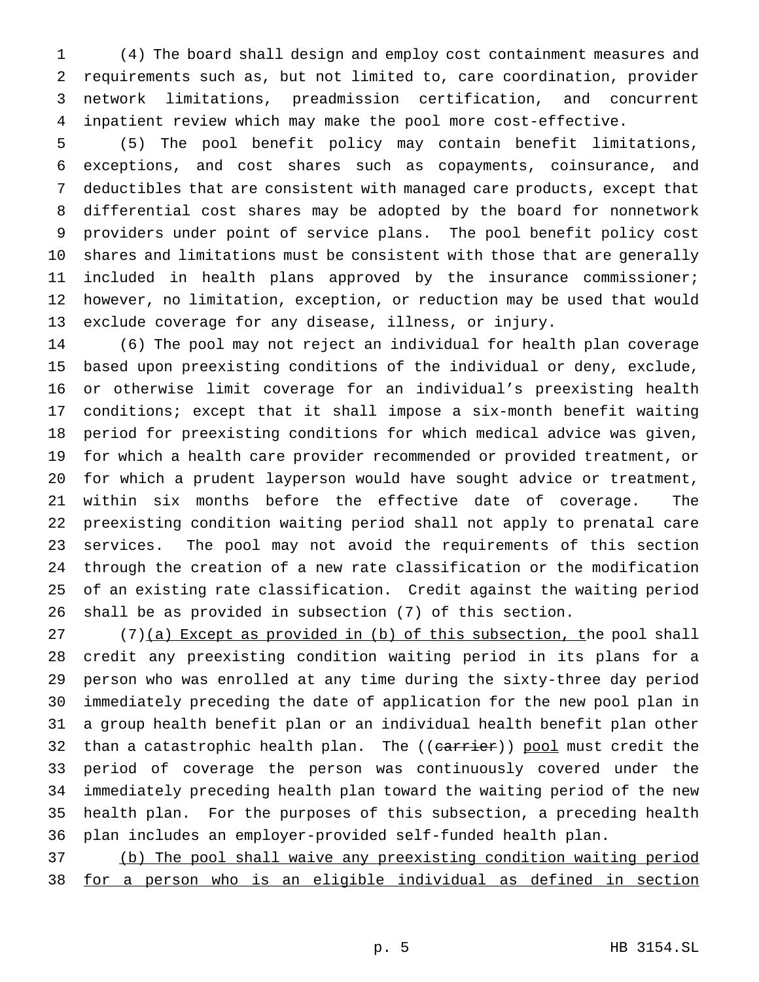(4) The board shall design and employ cost containment measures and requirements such as, but not limited to, care coordination, provider network limitations, preadmission certification, and concurrent inpatient review which may make the pool more cost-effective.

 (5) The pool benefit policy may contain benefit limitations, exceptions, and cost shares such as copayments, coinsurance, and deductibles that are consistent with managed care products, except that differential cost shares may be adopted by the board for nonnetwork providers under point of service plans. The pool benefit policy cost shares and limitations must be consistent with those that are generally included in health plans approved by the insurance commissioner; however, no limitation, exception, or reduction may be used that would exclude coverage for any disease, illness, or injury.

 (6) The pool may not reject an individual for health plan coverage based upon preexisting conditions of the individual or deny, exclude, or otherwise limit coverage for an individual's preexisting health conditions; except that it shall impose a six-month benefit waiting period for preexisting conditions for which medical advice was given, for which a health care provider recommended or provided treatment, or for which a prudent layperson would have sought advice or treatment, within six months before the effective date of coverage. The preexisting condition waiting period shall not apply to prenatal care services. The pool may not avoid the requirements of this section through the creation of a new rate classification or the modification of an existing rate classification. Credit against the waiting period shall be as provided in subsection (7) of this section.

 (7)(a) Except as provided in (b) of this subsection, the pool shall credit any preexisting condition waiting period in its plans for a person who was enrolled at any time during the sixty-three day period immediately preceding the date of application for the new pool plan in a group health benefit plan or an individual health benefit plan other 32 than a catastrophic health plan. The ((carrier)) pool must credit the period of coverage the person was continuously covered under the immediately preceding health plan toward the waiting period of the new health plan. For the purposes of this subsection, a preceding health plan includes an employer-provided self-funded health plan.

 (b) The pool shall waive any preexisting condition waiting period for a person who is an eligible individual as defined in section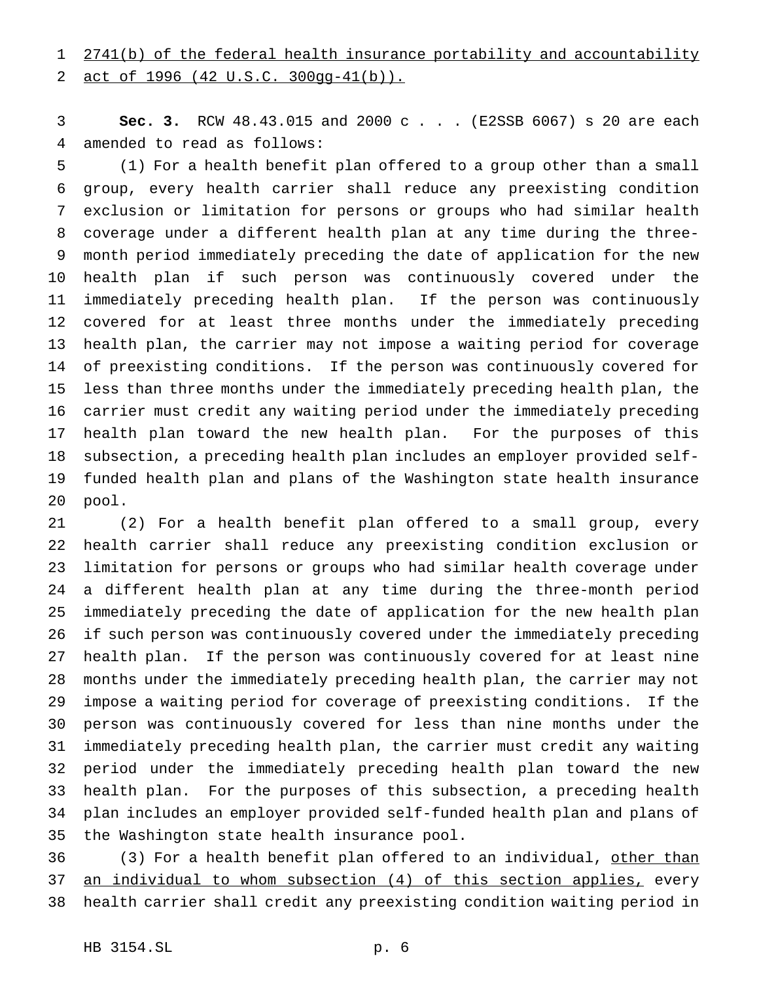act of 1996 (42 U.S.C. 300gg-41(b)).

 **Sec. 3.** RCW 48.43.015 and 2000 c . . . (E2SSB 6067) s 20 are each amended to read as follows:

 (1) For a health benefit plan offered to a group other than a small group, every health carrier shall reduce any preexisting condition exclusion or limitation for persons or groups who had similar health coverage under a different health plan at any time during the three- month period immediately preceding the date of application for the new health plan if such person was continuously covered under the immediately preceding health plan. If the person was continuously covered for at least three months under the immediately preceding health plan, the carrier may not impose a waiting period for coverage of preexisting conditions. If the person was continuously covered for less than three months under the immediately preceding health plan, the carrier must credit any waiting period under the immediately preceding health plan toward the new health plan. For the purposes of this subsection, a preceding health plan includes an employer provided self- funded health plan and plans of the Washington state health insurance pool.

 (2) For a health benefit plan offered to a small group, every health carrier shall reduce any preexisting condition exclusion or limitation for persons or groups who had similar health coverage under a different health plan at any time during the three-month period immediately preceding the date of application for the new health plan if such person was continuously covered under the immediately preceding health plan. If the person was continuously covered for at least nine months under the immediately preceding health plan, the carrier may not impose a waiting period for coverage of preexisting conditions. If the person was continuously covered for less than nine months under the immediately preceding health plan, the carrier must credit any waiting period under the immediately preceding health plan toward the new health plan. For the purposes of this subsection, a preceding health plan includes an employer provided self-funded health plan and plans of the Washington state health insurance pool.

36 (3) For a health benefit plan offered to an individual, other than an individual to whom subsection (4) of this section applies, every health carrier shall credit any preexisting condition waiting period in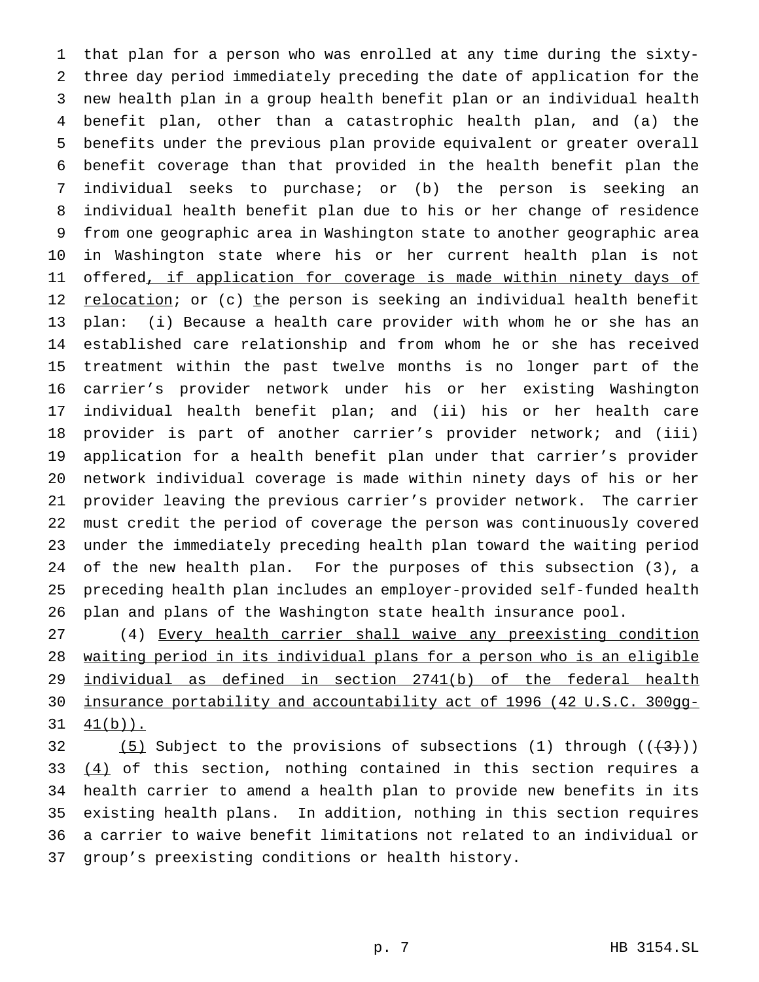that plan for a person who was enrolled at any time during the sixty- three day period immediately preceding the date of application for the new health plan in a group health benefit plan or an individual health benefit plan, other than a catastrophic health plan, and (a) the benefits under the previous plan provide equivalent or greater overall benefit coverage than that provided in the health benefit plan the individual seeks to purchase; or (b) the person is seeking an individual health benefit plan due to his or her change of residence from one geographic area in Washington state to another geographic area in Washington state where his or her current health plan is not 11 offered, if application for coverage is made within ninety days of 12 relocation; or (c) the person is seeking an individual health benefit plan: (i) Because a health care provider with whom he or she has an established care relationship and from whom he or she has received treatment within the past twelve months is no longer part of the carrier's provider network under his or her existing Washington individual health benefit plan; and (ii) his or her health care provider is part of another carrier's provider network; and (iii) application for a health benefit plan under that carrier's provider network individual coverage is made within ninety days of his or her provider leaving the previous carrier's provider network. The carrier must credit the period of coverage the person was continuously covered under the immediately preceding health plan toward the waiting period of the new health plan. For the purposes of this subsection (3), a preceding health plan includes an employer-provided self-funded health plan and plans of the Washington state health insurance pool.

 (4) Every health carrier shall waive any preexisting condition waiting period in its individual plans for a person who is an eligible individual as defined in section 2741(b) of the federal health insurance portability and accountability act of 1996 (42 U.S.C. 300gg- $31 \quad 41(b)$ .

32 (5) Subject to the provisions of subsections (1) through  $((+3))$  $(4)$  of this section, nothing contained in this section requires a health carrier to amend a health plan to provide new benefits in its existing health plans. In addition, nothing in this section requires a carrier to waive benefit limitations not related to an individual or group's preexisting conditions or health history.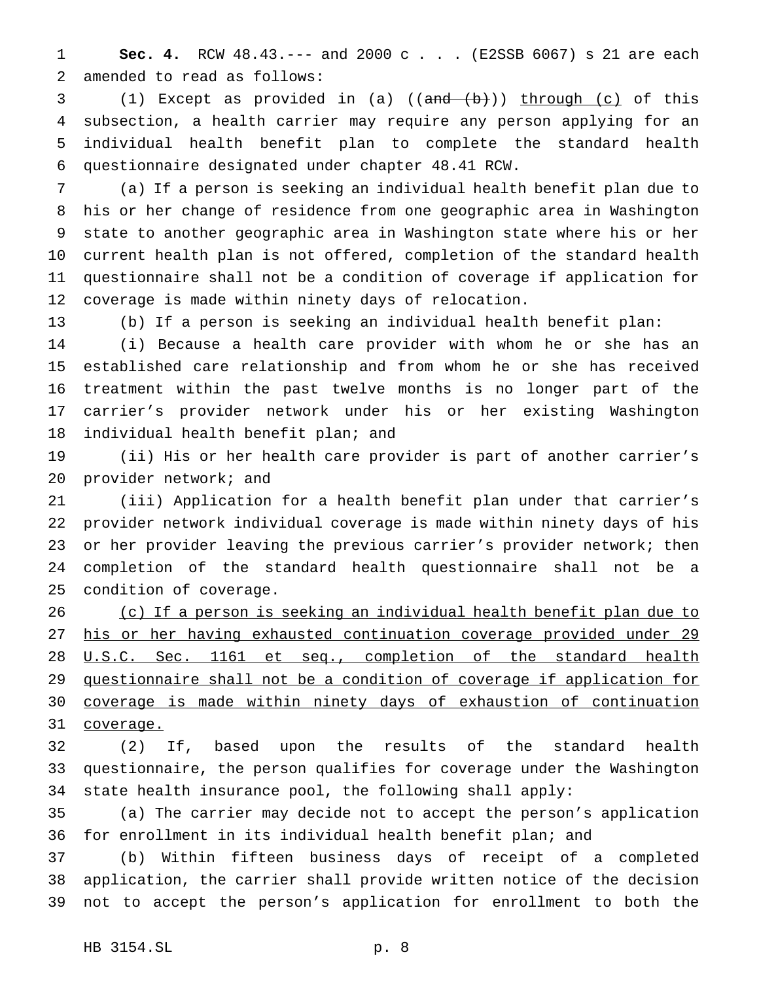**Sec. 4.** RCW 48.43.--- and 2000 c . . . (E2SSB 6067) s 21 are each amended to read as follows:

3 (1) Except as provided in (a) ((and (b)) through (c) of this subsection, a health carrier may require any person applying for an individual health benefit plan to complete the standard health questionnaire designated under chapter 48.41 RCW.

 (a) If a person is seeking an individual health benefit plan due to his or her change of residence from one geographic area in Washington state to another geographic area in Washington state where his or her current health plan is not offered, completion of the standard health questionnaire shall not be a condition of coverage if application for coverage is made within ninety days of relocation.

(b) If a person is seeking an individual health benefit plan:

 (i) Because a health care provider with whom he or she has an established care relationship and from whom he or she has received treatment within the past twelve months is no longer part of the carrier's provider network under his or her existing Washington individual health benefit plan; and

 (ii) His or her health care provider is part of another carrier's provider network; and

 (iii) Application for a health benefit plan under that carrier's provider network individual coverage is made within ninety days of his or her provider leaving the previous carrier's provider network; then completion of the standard health questionnaire shall not be a condition of coverage.

 (c) If a person is seeking an individual health benefit plan due to his or her having exhausted continuation coverage provided under 29 28 U.S.C. Sec. 1161 et seq., completion of the standard health questionnaire shall not be a condition of coverage if application for coverage is made within ninety days of exhaustion of continuation coverage.

 (2) If, based upon the results of the standard health questionnaire, the person qualifies for coverage under the Washington state health insurance pool, the following shall apply:

 (a) The carrier may decide not to accept the person's application for enrollment in its individual health benefit plan; and

 (b) Within fifteen business days of receipt of a completed application, the carrier shall provide written notice of the decision not to accept the person's application for enrollment to both the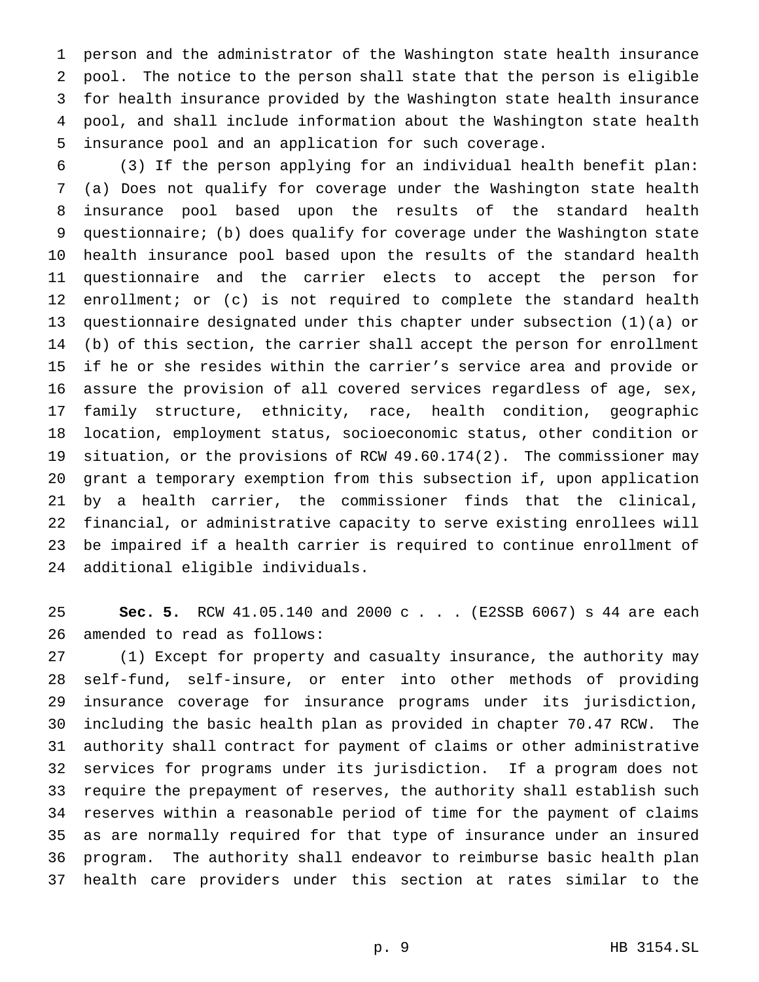person and the administrator of the Washington state health insurance pool. The notice to the person shall state that the person is eligible for health insurance provided by the Washington state health insurance pool, and shall include information about the Washington state health insurance pool and an application for such coverage.

 (3) If the person applying for an individual health benefit plan: (a) Does not qualify for coverage under the Washington state health insurance pool based upon the results of the standard health questionnaire; (b) does qualify for coverage under the Washington state health insurance pool based upon the results of the standard health questionnaire and the carrier elects to accept the person for enrollment; or (c) is not required to complete the standard health questionnaire designated under this chapter under subsection (1)(a) or (b) of this section, the carrier shall accept the person for enrollment if he or she resides within the carrier's service area and provide or assure the provision of all covered services regardless of age, sex, family structure, ethnicity, race, health condition, geographic location, employment status, socioeconomic status, other condition or situation, or the provisions of RCW 49.60.174(2). The commissioner may grant a temporary exemption from this subsection if, upon application by a health carrier, the commissioner finds that the clinical, financial, or administrative capacity to serve existing enrollees will be impaired if a health carrier is required to continue enrollment of additional eligible individuals.

 **Sec. 5.** RCW 41.05.140 and 2000 c . . . (E2SSB 6067) s 44 are each amended to read as follows:

 (1) Except for property and casualty insurance, the authority may self-fund, self-insure, or enter into other methods of providing insurance coverage for insurance programs under its jurisdiction, including the basic health plan as provided in chapter 70.47 RCW. The authority shall contract for payment of claims or other administrative services for programs under its jurisdiction. If a program does not require the prepayment of reserves, the authority shall establish such reserves within a reasonable period of time for the payment of claims as are normally required for that type of insurance under an insured program. The authority shall endeavor to reimburse basic health plan health care providers under this section at rates similar to the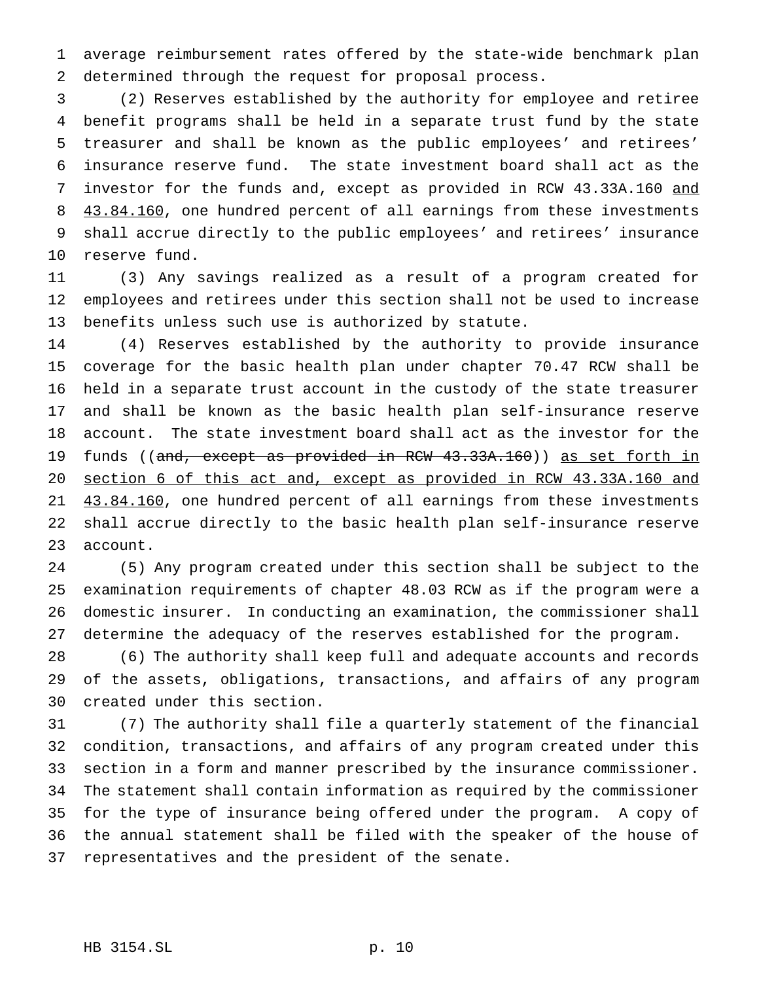average reimbursement rates offered by the state-wide benchmark plan determined through the request for proposal process.

 (2) Reserves established by the authority for employee and retiree benefit programs shall be held in a separate trust fund by the state treasurer and shall be known as the public employees' and retirees' insurance reserve fund. The state investment board shall act as the 7 investor for the funds and, except as provided in RCW 43.33A.160 and 8 43.84.160, one hundred percent of all earnings from these investments shall accrue directly to the public employees' and retirees' insurance reserve fund.

 (3) Any savings realized as a result of a program created for employees and retirees under this section shall not be used to increase benefits unless such use is authorized by statute.

 (4) Reserves established by the authority to provide insurance coverage for the basic health plan under chapter 70.47 RCW shall be held in a separate trust account in the custody of the state treasurer and shall be known as the basic health plan self-insurance reserve account. The state investment board shall act as the investor for the 19 funds ((and, except as provided in RCW 43.33A.160)) as set forth in section 6 of this act and, except as provided in RCW 43.33A.160 and 21 43.84.160, one hundred percent of all earnings from these investments shall accrue directly to the basic health plan self-insurance reserve account.

 (5) Any program created under this section shall be subject to the examination requirements of chapter 48.03 RCW as if the program were a domestic insurer. In conducting an examination, the commissioner shall determine the adequacy of the reserves established for the program.

 (6) The authority shall keep full and adequate accounts and records of the assets, obligations, transactions, and affairs of any program created under this section.

 (7) The authority shall file a quarterly statement of the financial condition, transactions, and affairs of any program created under this section in a form and manner prescribed by the insurance commissioner. The statement shall contain information as required by the commissioner for the type of insurance being offered under the program. A copy of the annual statement shall be filed with the speaker of the house of representatives and the president of the senate.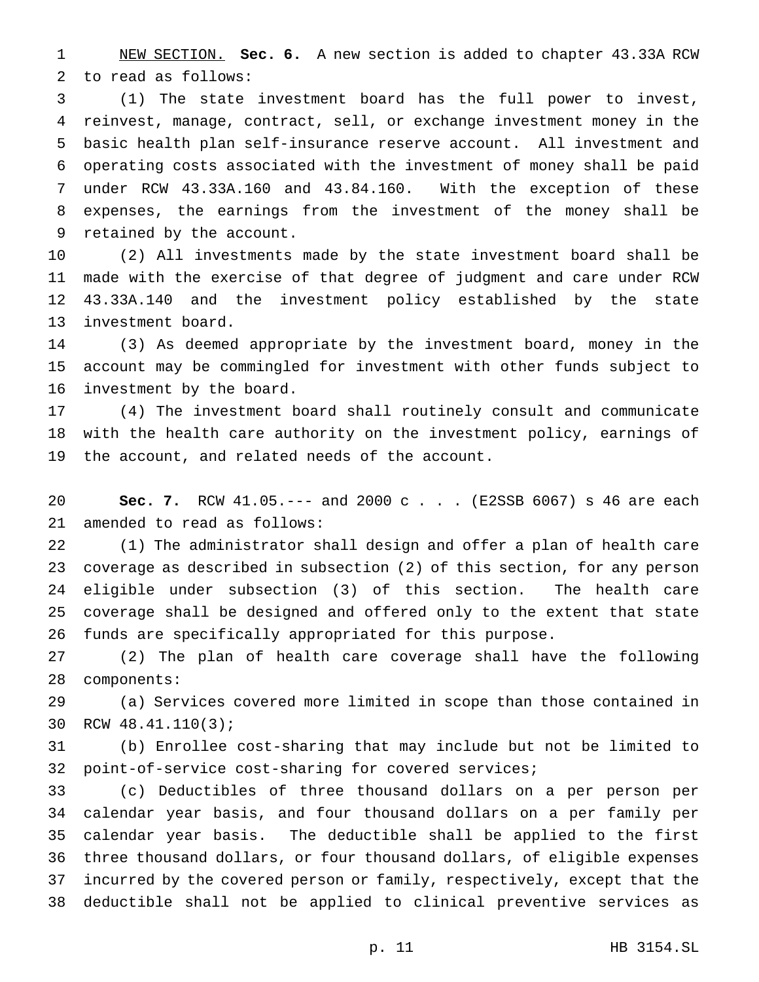NEW SECTION. **Sec. 6.** A new section is added to chapter 43.33A RCW to read as follows:

 (1) The state investment board has the full power to invest, reinvest, manage, contract, sell, or exchange investment money in the basic health plan self-insurance reserve account. All investment and operating costs associated with the investment of money shall be paid under RCW 43.33A.160 and 43.84.160. With the exception of these expenses, the earnings from the investment of the money shall be retained by the account.

 (2) All investments made by the state investment board shall be made with the exercise of that degree of judgment and care under RCW 43.33A.140 and the investment policy established by the state investment board.

 (3) As deemed appropriate by the investment board, money in the account may be commingled for investment with other funds subject to investment by the board.

 (4) The investment board shall routinely consult and communicate with the health care authority on the investment policy, earnings of the account, and related needs of the account.

 **Sec. 7.** RCW 41.05.--- and 2000 c . . . (E2SSB 6067) s 46 are each amended to read as follows:

 (1) The administrator shall design and offer a plan of health care coverage as described in subsection (2) of this section, for any person eligible under subsection (3) of this section. The health care coverage shall be designed and offered only to the extent that state funds are specifically appropriated for this purpose.

 (2) The plan of health care coverage shall have the following components:

 (a) Services covered more limited in scope than those contained in RCW 48.41.110(3);

 (b) Enrollee cost-sharing that may include but not be limited to point-of-service cost-sharing for covered services;

 (c) Deductibles of three thousand dollars on a per person per calendar year basis, and four thousand dollars on a per family per calendar year basis. The deductible shall be applied to the first three thousand dollars, or four thousand dollars, of eligible expenses incurred by the covered person or family, respectively, except that the deductible shall not be applied to clinical preventive services as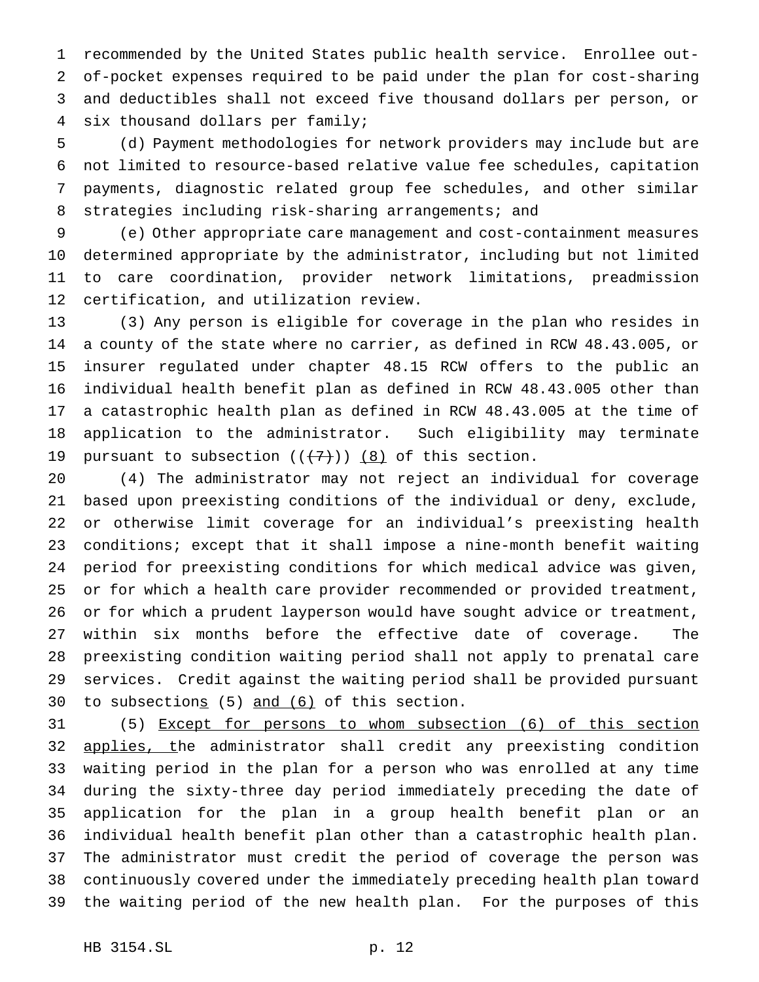recommended by the United States public health service. Enrollee out- of-pocket expenses required to be paid under the plan for cost-sharing and deductibles shall not exceed five thousand dollars per person, or six thousand dollars per family;

 (d) Payment methodologies for network providers may include but are not limited to resource-based relative value fee schedules, capitation payments, diagnostic related group fee schedules, and other similar strategies including risk-sharing arrangements; and

 (e) Other appropriate care management and cost-containment measures determined appropriate by the administrator, including but not limited to care coordination, provider network limitations, preadmission certification, and utilization review.

 (3) Any person is eligible for coverage in the plan who resides in a county of the state where no carrier, as defined in RCW 48.43.005, or insurer regulated under chapter 48.15 RCW offers to the public an individual health benefit plan as defined in RCW 48.43.005 other than a catastrophic health plan as defined in RCW 48.43.005 at the time of application to the administrator. Such eligibility may terminate 19 pursuant to subsection  $((+7))$   $(8)$  of this section.

 (4) The administrator may not reject an individual for coverage based upon preexisting conditions of the individual or deny, exclude, or otherwise limit coverage for an individual's preexisting health conditions; except that it shall impose a nine-month benefit waiting period for preexisting conditions for which medical advice was given, or for which a health care provider recommended or provided treatment, or for which a prudent layperson would have sought advice or treatment, within six months before the effective date of coverage. The preexisting condition waiting period shall not apply to prenatal care services. Credit against the waiting period shall be provided pursuant 30 to subsections  $(5)$  and  $(6)$  of this section.

 (5) Except for persons to whom subsection (6) of this section 32 applies, the administrator shall credit any preexisting condition waiting period in the plan for a person who was enrolled at any time during the sixty-three day period immediately preceding the date of application for the plan in a group health benefit plan or an individual health benefit plan other than a catastrophic health plan. The administrator must credit the period of coverage the person was continuously covered under the immediately preceding health plan toward the waiting period of the new health plan. For the purposes of this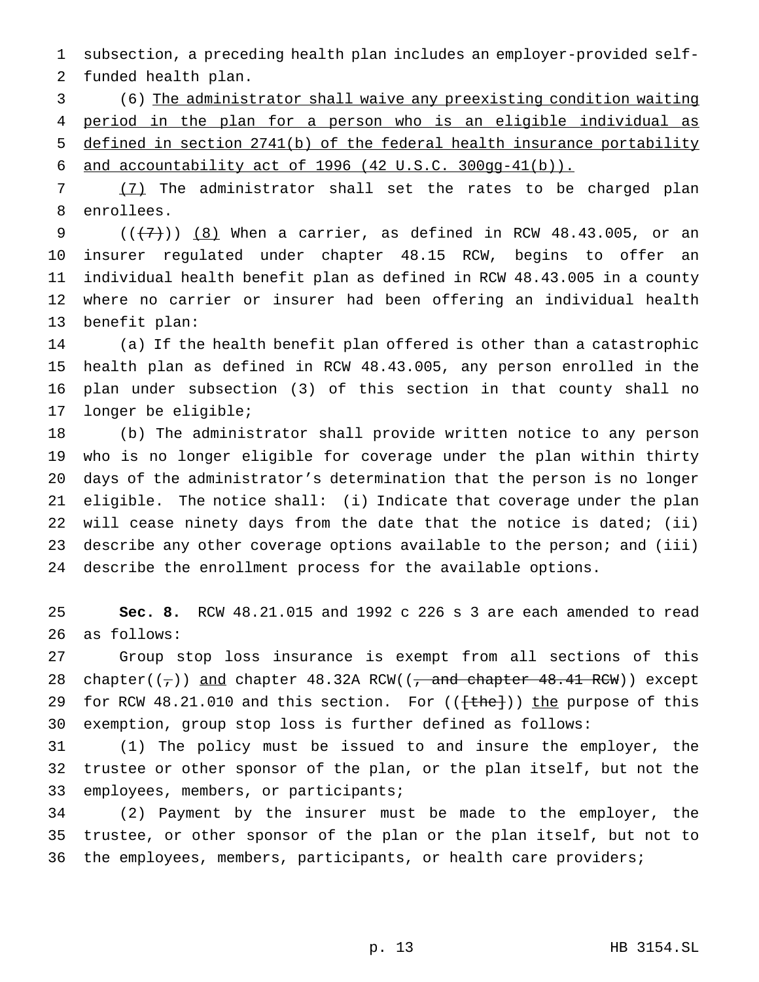subsection, a preceding health plan includes an employer-provided self-funded health plan.

 (6) The administrator shall waive any preexisting condition waiting period in the plan for a person who is an eligible individual as defined in section 2741(b) of the federal health insurance portability and accountability act of 1996 (42 U.S.C. 300gg-41(b)).

 (7) The administrator shall set the rates to be charged plan enrollees.

 $((+7)^{9}$  (( $+7$ )) (8) When a carrier, as defined in RCW 48.43.005, or an insurer regulated under chapter 48.15 RCW, begins to offer an individual health benefit plan as defined in RCW 48.43.005 in a county where no carrier or insurer had been offering an individual health benefit plan:

 (a) If the health benefit plan offered is other than a catastrophic health plan as defined in RCW 48.43.005, any person enrolled in the plan under subsection (3) of this section in that county shall no longer be eligible;

 (b) The administrator shall provide written notice to any person who is no longer eligible for coverage under the plan within thirty days of the administrator's determination that the person is no longer eligible. The notice shall: (i) Indicate that coverage under the plan will cease ninety days from the date that the notice is dated; (ii) describe any other coverage options available to the person; and (iii) describe the enrollment process for the available options.

 **Sec. 8.** RCW 48.21.015 and 1992 c 226 s 3 are each amended to read as follows:

 Group stop loss insurance is exempt from all sections of this 28 chapter( $(\tau)$ ) and chapter 48.32A RCW(( $\tau$  and chapter 48.41 RCW)) except 29 for RCW 48.21.010 and this section. For (( $\text{[the]})$ ) the purpose of this exemption, group stop loss is further defined as follows:

 (1) The policy must be issued to and insure the employer, the trustee or other sponsor of the plan, or the plan itself, but not the employees, members, or participants;

 (2) Payment by the insurer must be made to the employer, the trustee, or other sponsor of the plan or the plan itself, but not to the employees, members, participants, or health care providers;